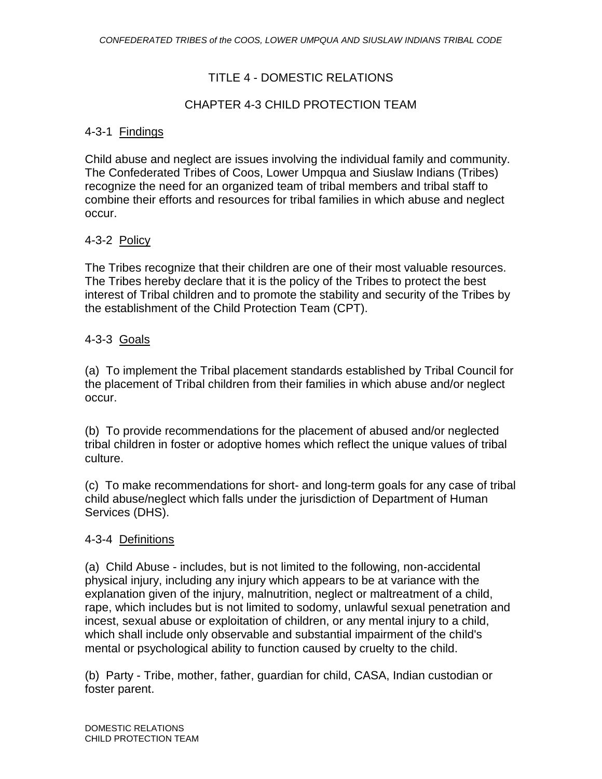# TITLE 4 - DOMESTIC RELATIONS

# CHAPTER 4-3 CHILD PROTECTION TEAM

# 4-3-1 Findings

Child abuse and neglect are issues involving the individual family and community. The Confederated Tribes of Coos, Lower Umpqua and Siuslaw Indians (Tribes) recognize the need for an organized team of tribal members and tribal staff to combine their efforts and resources for tribal families in which abuse and neglect occur.

## 4-3-2 Policy

The Tribes recognize that their children are one of their most valuable resources. The Tribes hereby declare that it is the policy of the Tribes to protect the best interest of Tribal children and to promote the stability and security of the Tribes by the establishment of the Child Protection Team (CPT).

## 4-3-3 Goals

(a) To implement the Tribal placement standards established by Tribal Council for the placement of Tribal children from their families in which abuse and/or neglect occur.

(b) To provide recommendations for the placement of abused and/or neglected tribal children in foster or adoptive homes which reflect the unique values of tribal culture.

(c) To make recommendations for short- and long-term goals for any case of tribal child abuse/neglect which falls under the jurisdiction of Department of Human Services (DHS).

#### 4-3-4 Definitions

(a) Child Abuse - includes, but is not limited to the following, non-accidental physical injury, including any injury which appears to be at variance with the explanation given of the injury, malnutrition, neglect or maltreatment of a child, rape, which includes but is not limited to sodomy, unlawful sexual penetration and incest, sexual abuse or exploitation of children, or any mental injury to a child, which shall include only observable and substantial impairment of the child's mental or psychological ability to function caused by cruelty to the child.

(b) Party - Tribe, mother, father, guardian for child, CASA, Indian custodian or foster parent.

DOMESTIC RELATIONS CHILD PROTECTION TEAM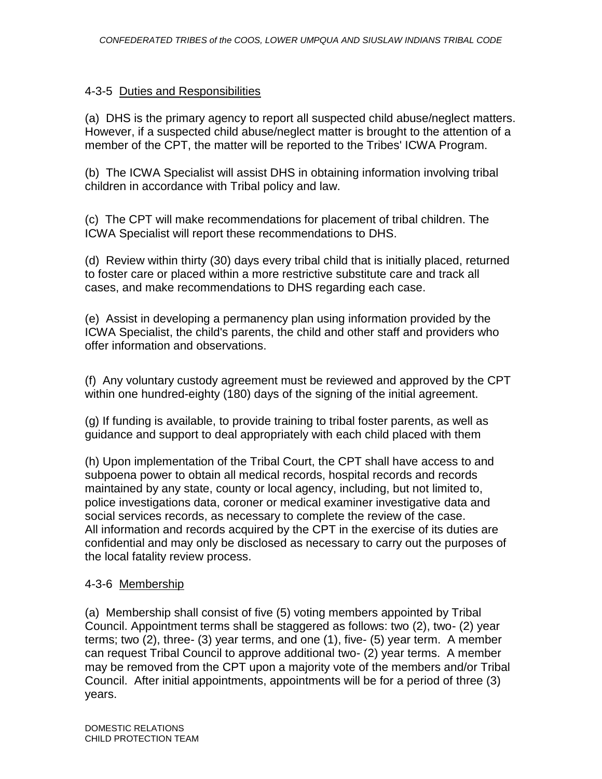## 4-3-5 Duties and Responsibilities

(a) DHS is the primary agency to report all suspected child abuse/neglect matters. However, if a suspected child abuse/neglect matter is brought to the attention of a member of the CPT, the matter will be reported to the Tribes' ICWA Program.

(b) The ICWA Specialist will assist DHS in obtaining information involving tribal children in accordance with Tribal policy and law.

(c) The CPT will make recommendations for placement of tribal children. The ICWA Specialist will report these recommendations to DHS.

(d) Review within thirty (30) days every tribal child that is initially placed, returned to foster care or placed within a more restrictive substitute care and track all cases, and make recommendations to DHS regarding each case.

(e) Assist in developing a permanency plan using information provided by the ICWA Specialist, the child's parents, the child and other staff and providers who offer information and observations.

(f) Any voluntary custody agreement must be reviewed and approved by the CPT within one hundred-eighty (180) days of the signing of the initial agreement.

(g) If funding is available, to provide training to tribal foster parents, as well as guidance and support to deal appropriately with each child placed with them

(h) Upon implementation of the Tribal Court, the CPT shall have access to and subpoena power to obtain all medical records, hospital records and records maintained by any state, county or local agency, including, but not limited to, police investigations data, coroner or medical examiner investigative data and social services records, as necessary to complete the review of the case. All information and records acquired by the CPT in the exercise of its duties are confidential and may only be disclosed as necessary to carry out the purposes of the local fatality review process.

# 4-3-6 Membership

(a) Membership shall consist of five (5) voting members appointed by Tribal Council. Appointment terms shall be staggered as follows: two (2), two- (2) year terms; two (2), three- (3) year terms, and one (1), five- (5) year term. A member can request Tribal Council to approve additional two- (2) year terms. A member may be removed from the CPT upon a majority vote of the members and/or Tribal Council. After initial appointments, appointments will be for a period of three (3) years.

DOMESTIC RELATIONS CHILD PROTECTION TEAM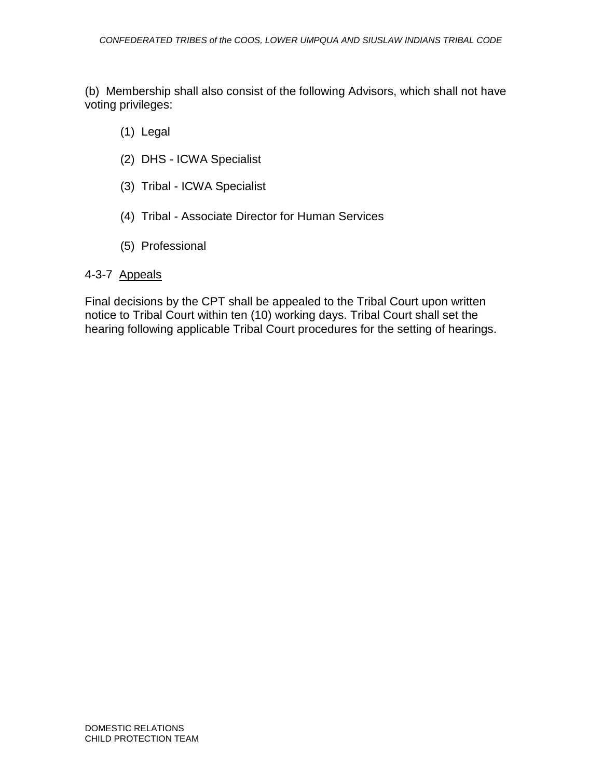(b) Membership shall also consist of the following Advisors, which shall not have voting privileges:

- (1) Legal
- (2) DHS ICWA Specialist
- (3) Tribal ICWA Specialist
- (4) Tribal Associate Director for Human Services
- (5) Professional

# 4-3-7 Appeals

Final decisions by the CPT shall be appealed to the Tribal Court upon written notice to Tribal Court within ten (10) working days. Tribal Court shall set the hearing following applicable Tribal Court procedures for the setting of hearings.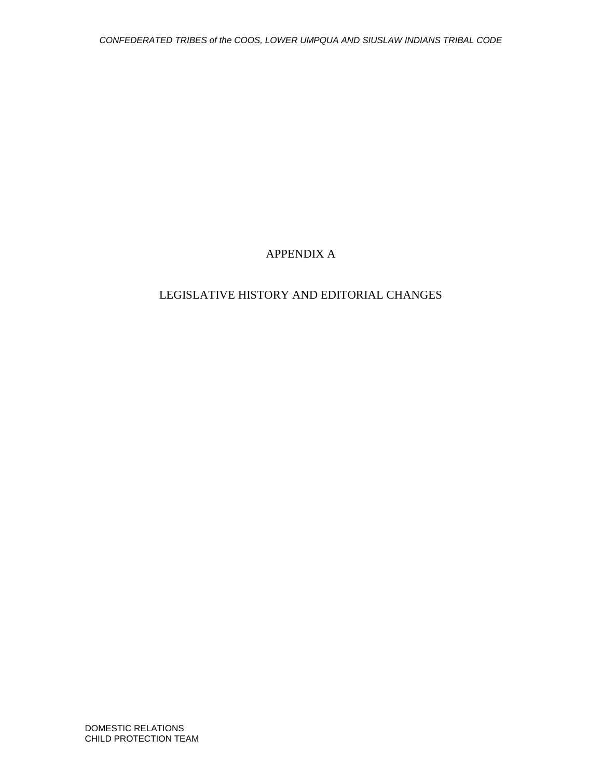# APPENDIX A

# LEGISLATIVE HISTORY AND EDITORIAL CHANGES

DOMESTIC RELATIONS CHILD PROTECTION TEAM